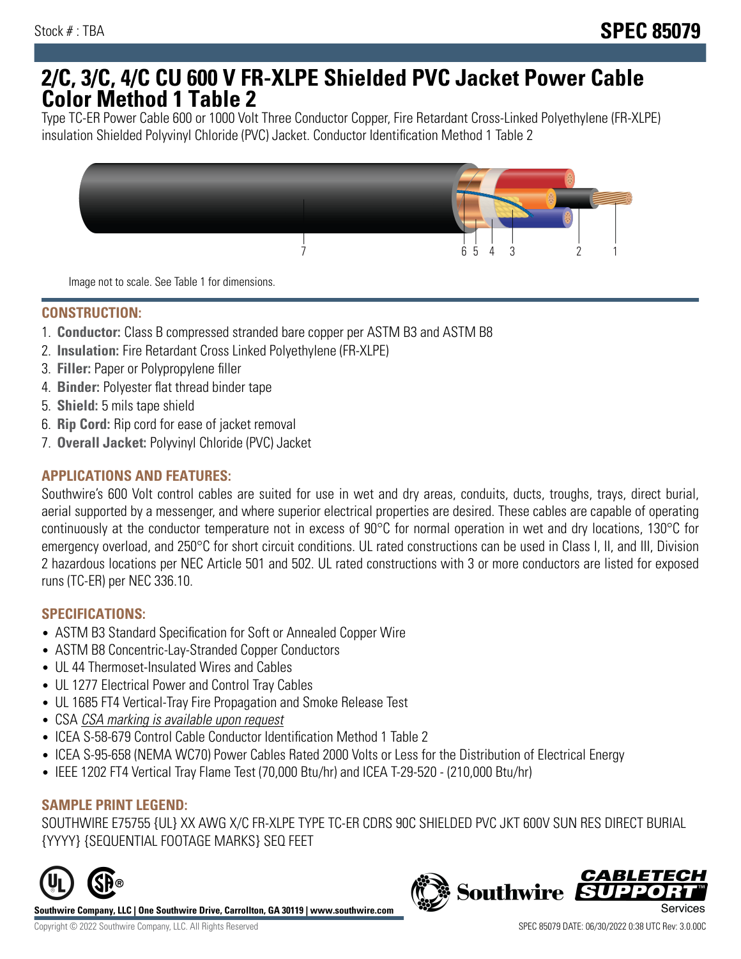# **2/C, 3/C, 4/C CU 600 V FR-XLPE Shielded PVC Jacket Power Cable Color Method 1 Table 2**

Type TC-ER Power Cable 600 or 1000 Volt Three Conductor Copper, Fire Retardant Cross-Linked Polyethylene (FR-XLPE) insulation Shielded Polyvinyl Chloride (PVC) Jacket. Conductor Identification Method 1 Table 2



Image not to scale. See Table 1 for dimensions.

## **CONSTRUCTION:**

- 1. **Conductor:** Class B compressed stranded bare copper per ASTM B3 and ASTM B8
- 2. **Insulation:** Fire Retardant Cross Linked Polyethylene (FR-XLPE)
- 3. **Filler:** Paper or Polypropylene filler
- 4. **Binder:** Polyester flat thread binder tape
- 5. **Shield:** 5 mils tape shield
- 6. **Rip Cord:** Rip cord for ease of jacket removal
- 7. **Overall Jacket:** Polyvinyl Chloride (PVC) Jacket

### **APPLICATIONS AND FEATURES:**

Southwire's 600 Volt control cables are suited for use in wet and dry areas, conduits, ducts, troughs, trays, direct burial, aerial supported by a messenger, and where superior electrical properties are desired. These cables are capable of operating continuously at the conductor temperature not in excess of 90°C for normal operation in wet and dry locations, 130°C for emergency overload, and 250°C for short circuit conditions. UL rated constructions can be used in Class I, II, and III, Division 2 hazardous locations per NEC Article 501 and 502. UL rated constructions with 3 or more conductors are listed for exposed runs (TC-ER) per NEC 336.10.

#### **SPECIFICATIONS:**

- ASTM B3 Standard Specification for Soft or Annealed Copper Wire
- ASTM B8 Concentric-Lay-Stranded Copper Conductors
- UL 44 Thermoset-Insulated Wires and Cables
- UL 1277 Electrical Power and Control Tray Cables
- UL 1685 FT4 Vertical-Tray Fire Propagation and Smoke Release Test
- CSA CSA marking is available upon request
- ICEA S-58-679 Control Cable Conductor Identification Method 1 Table 2
- ICEA S-95-658 (NEMA WC70) Power Cables Rated 2000 Volts or Less for the Distribution of Electrical Energy
- IEEE 1202 FT4 Vertical Tray Flame Test (70,000 Btu/hr) and ICEA T-29-520 (210,000 Btu/hr)

#### **SAMPLE PRINT LEGEND:**

SOUTHWIRE E75755 {UL} XX AWG X/C FR-XLPE TYPE TC-ER CDRS 90C SHIELDED PVC JKT 600V SUN RES DIRECT BURIAL {YYYY} {SEQUENTIAL FOOTAGE MARKS} SEQ FEET



**Southwire Company, LLC | One Southwire Drive, Carrollton, GA 30119 | www.southwire.com**